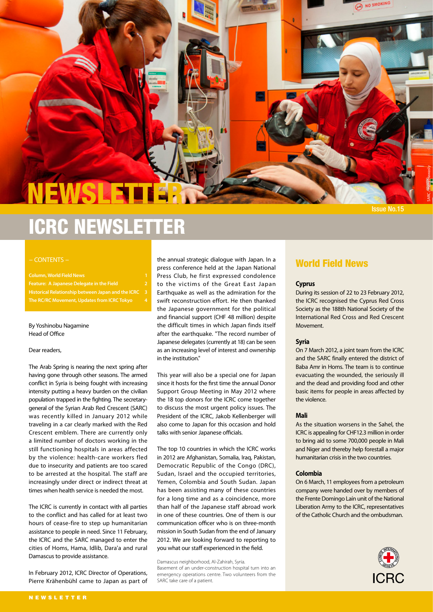# NEWSL

NO SMOKING

SARC / Hany Hawasly

# ICRC NEWSLETTER

#### - CONTENTS -

**Column, World Field News 1 Feature: A Japanese Delegate in the Field 2 Historical Relationship between Japan and the ICRC 3 The RC/RC Movement, Updates from ICRC Tokyo 4**

By Yoshinobu Nagamine Head of Office

#### Dear readers,

The Arab Spring is nearing the next spring after having gone through other seasons. The armed conflict in Syria is being fought with increasing intensity putting a heavy burden on the civilian population trapped in the fighting. The secretarygeneral of the Syrian Arab Red Crescent (SARC) was recently killed in January 2012 while traveling in a car clearly marked with the Red Crescent emblem. There are currently only a limited number of doctors working in the still functioning hospitals in areas affected by the violence: health-care workers fled due to insecurity and patients are too scared to be arrested at the hospital. The staff are increasingly under direct or indirect threat at times when health service is needed the most.

The ICRC is currently in contact with all parties to the conflict and has called for at least two hours of cease-fire to step up humanitarian assistance to people in need. Since 11 February, the ICRC and the SARC managed to enter the cities of Homs, Hama, Idlib, Dara'a and rural Damascus to provide assistance.

In February 2012, ICRC Director of Operations, Pierre Krähenbühl came to Japan as part of

the annual strategic dialogue with Japan. In a press conference held at the Japan National Press Club, he first expressed condolence to the victims of the Great East Japan Earthquake as well as the admiration for the swift reconstruction effort. He then thanked the Japanese government for the political and financial support (CHF 48 million) despite the difficult times in which Japan finds itself after the earthquake. "The record number of Japanese delegates (currently at 18) can be seen as an increasing level of interest and ownership in the institution."

This year will also be a special one for Japan since it hosts for the first time the annual Donor Support Group Meeting in May 2012 where the 18 top donors for the ICRC come together to discuss the most urgent policy issues. The President of the ICRC, Jakob Kellenberger will also come to Japan for this occasion and hold talks with senior Japanese officials.

The top 10 countries in which the ICRC works in 2012 are Afghanistan, Somalia, Iraq, Pakistan, Democratic Republic of the Congo (DRC), Sudan, Israel and the occupied territories, Yemen, Colombia and South Sudan. Japan has been assisting many of these countries for a long time and as a coincidence, more than half of the Japanese staff abroad work in one of these countries. One of them is our communication officer who is on three-month mission in South Sudan from the end of January 2012. We are looking forward to reporting to you what our staff experienced in the field.

Damascus neighborhood, Al-Zahirah, Syria. Basement of an under-construction hospital turn into an emergency operations centre. Two volunteers from the SARC take care of a patient.

### World Field News

#### **Cyprus**

During its session of 22 to 23 February 2012, the ICRC recognised the Cyprus Red Cross Society as the 188th National Society of the International Red Cross and Red Crescent Movement.

#### **Syria**

On 7 March 2012, a joint team from the ICRC and the SARC finally entered the district of Baba Amr in Homs. The team is to continue evacuating the wounded, the seriously ill and the dead and providing food and other basic items for people in areas affected by the violence.

#### **Mali**

As the situation worsens in the Sahel, the ICRC is appealing for CHF12.3 million in order to bring aid to some 700,000 people in Mali and Niger and thereby help forestall a major humanitarian crisis in the two countries.

#### **Colombia**

On 6 March, 11 employees from a petroleum company were handed over by members of the Frente Domingo Laín unit of the National Liberation Army to the ICRC, representatives of the Catholic Church and the ombudsman.

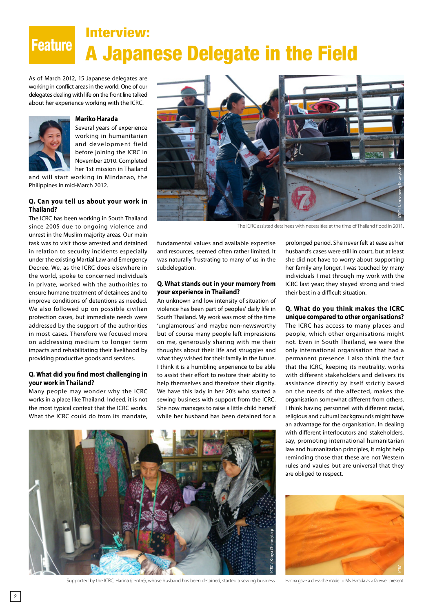## Feature A Japanese Delegate in the Field Interview:

As of March 2012, 15 Japanese delegates are working in conflict areas in the world. One of our delegates dealing with life on the front line talked about her experience working with the ICRC.



#### **Mariko Harada**

Several years of experience working in humanitarian and development field before joining the ICRC in November 2010. Completed her 1st mission in Thailand

and will start working in Mindanao, the Philippines in mid‐March 2012.

#### **Q. Can you tell us about your work in Thailand?**

The ICRC has been working in South Thailand since 2005 due to ongoing violence and unrest in the Muslim majority areas. Our main task was to visit those arrested and detained in relation to security incidents especially under the existing Martial Law and Emergency Decree. We, as the ICRC does elsewhere in the world, spoke to concerned individuals in private, worked with the authorities to ensure humane treatment of detainees and to improve conditions of detentions as needed. We also followed up on possible civilian protection cases, but immediate needs were addressed by the support of the authorities in most cases. Therefore we focused more on addressing medium to longer term impacts and rehabilitating their livelihood by providing productive goods and services.

#### **Q. What did you find most challenging in your work in Thailand?**

Many people may wonder why the ICRC works in a place like Thailand. Indeed, it is not the most typical context that the ICRC works. What the ICRC could do from its mandate,



The ICRC assisted detainees with necessities at the time of Thailand flood in 2011.

fundamental values and available expertise and resources, seemed often rather limited. It was naturally frustrating to many of us in the subdelegation.

#### **Q. What stands out in your memory from your experience in Thailand?**

An unknown and low intensity of situation of violence has been part of peoples' daily life in South Thailand. My work was most of the time 'unglamorous' and maybe non-newsworthy but of course many people left impressions on me, generously sharing with me their thoughts about their life and struggles and what they wished for their family in the future. I think it is a humbling experience to be able to assist their effort to restore their ability to help themselves and therefore their dignity. We have this lady in her 20's who started a sewing business with support from the ICRC. She now manages to raise a little child herself while her husband has been detained for a

prolonged period. She never felt at ease as her husband's cases were still in court, but at least she did not have to worry about supporting her family any longer. I was touched by many individuals I met through my work with the ICRC last year; they stayed strong and tried their best in a difficult situation.

#### **Q. What do you think makes the ICRC unique compared to other organisations?**

The ICRC has access to many places and people, which other organisations might not. Even in South Thailand, we were the only international organisation that had a permanent presence. I also think the fact that the ICRC, keeping its neutrality, works with different stakeholders and delivers its assistance directly by itself strictly based on the needs of the affected, makes the organisation somewhat different from others. I think having personnel with different racial, religious and cultural backgrounds might have an advantage for the organisation. In dealing with different interlocutors and stakeholders, say, promoting international humanitarian law and humanitarian principles, it might help reminding those that these are not Western rules and vaules but are universal that they are obliged to respect.



Supported by the ICRC, Harina (centre), whose husband has been detained, started a sewing business.



Harina gave a dress she made to Ms. Harada as a farewell present.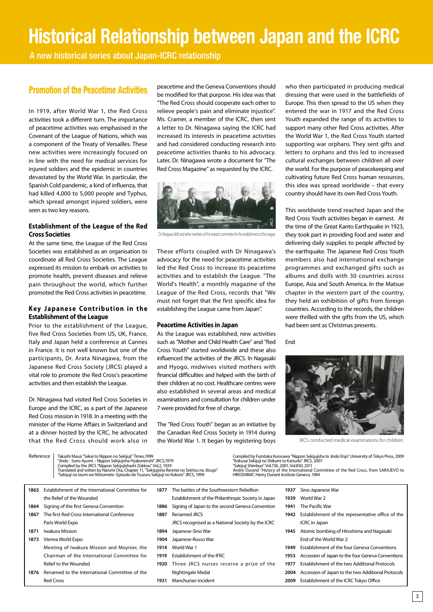# **Historical Relationship between Japan and the ICRC**

A new historical series about Japan-ICRC relationship

### Promotion of the Peacetime Activities

In 1919, after World War 1, the Red Cross activities took a different turn. The importance of peacetime activities was emphasised in the Covenant of the League of Nations, which was a component of the Treaty of Versailles. These new activities were increasingly focused on in line with the need for medical services for injured soldiers and the epidemic in countries devastated by the World War. In particular, the Spanish Cold pandemic, a kind of influenza, that had killed 4,000 to 5,000 people and Typhus, which spread amongst injured soldiers, were seen as two key reasons.

#### **Establishment of the League of the Red Cross Societies**

At the same time, the League of the Red Cross Societies was established as an organisation to coordinate all Red Cross Societies. The League expressed its mission to embark on activities to promote health, prevent diseases and relieve pain throughout the world, which further promoted the Red Cross activities in peacetime.

#### **Key Japanese Contribution in the Establishment of the League**

Prior to the establishment of the League, five Red Cross Societies from US, UK, France, Italy and Japan held a conference at Cannes in France. It is not well known but one of the participants, Dr. Arata Ninagawa, from the Japanese Red Cross Society (JRCS) played a vital role to promote the Red Cross's peacetime activities and then establish the League.

Dr. Ninagawa had visited Red Cross Societies in Europe and the ICRC, as a part of the Japanese Red Cross mission in 1918. In a meeting with the minister of the Home Affairs in Switzerland and at a dinner hosted by the ICRC, he advocated that the Red Cross should work also in

peacetime and the Geneva Conventions should be modified for that purpose. His idea was that "The Red Cross should cooperate each other to relieve people's pain and eliminate injustice". Ms. Cramer, a member of the ICRC, then sent a letter to Dr. Ninagawa saying the ICRC had increased its interests in peacetime activities and had considered conducting research into peacetime activities thanks to his advocacy. Later, Dr. Ninagawa wrote a document for "The Red Cross Magazine" as requested by the ICRC.



Dr. Ninagawa (left) and other members of the research committee for the establishment of the League.

These efforts coupled with Dr Ninagawa's advocacy for the need for peacetime activities led the Red Cross to increase its peacetime activities and to establish the League. "The World's Health", a monthly magazine of the League of the Red Cross, records that "We must not forget that the first specific idea for establishing the League came from Japan".

#### **Peacetime Activities in Japan**

As the League was established, new activities such as "Mother and Child Health Care" and "Red Cross Youth" started worldwide and these also influenced the activities of the JRCS. In Nagasaki and Hyogo, midwives visited mothers with financial difficulties and helped with the birth of their children at no cost. Healthcare centres were also established in several areas and medical examinations and consultation for children under 7 were provided for free of charge.

The "Red Cross Youth" began as an initiative by the Canadian Red Cross Society in 1914 during the World War 1. It began by registering boys who then participated in producing medical dressing that were used in the battlefields of Europe. This then spread to the US when they entered the war in 1917 and the Red Cross Youth expanded the range of its activities to support many other Red Cross activities. After the World War 1, the Red Cross Youth started supporting war orphans. They sent gifts and letters to orphans and this led to increased cultural exchanges between children all over the world. For the purpose of peacekeeping and cultivating future Red Cross human resources, this idea was spread worldwide – that every country should have its own Red Cross Youth.

This worldwide trend reached Japan and the Red Cross Youth activities began in earnest. At the time of the Great Kanto Earthquake in 1923, they took part in providing food and water and delivering daily supplies to people affected by the earthquake. The Japanese Red Cross Youth members also had international exchange programmes and exchanged gifts such as albums and dolls with 30 countries across Europe, Asia and South America. In the Matsue chapter in the western part of the country, they held an exhibition of gifts from foreign countries. According to the records, the children were thrilled with the gifts from the US, which had been sent as Christmas presents.

End



JRCS conducted medical examinations for children.

| Reference<br>Takashi Masui "Sekai to Nippon no Sekijuji" Times, 1999<br>"Jindo - Sono Ayumi – Nippon Sekijujisha Hyakunenshi" JRCS,1979<br>Compiled by the JRCS "Nippon Sekijujishashi Zokkou" Vol.2, 1929<br>Translated and witten by Narumi Ota, Chapter 11, "Sekijujisha Renmei no Seiritsu no Jitsujo"<br>"Sekijuji no Izumi wo Motomete- Episodo de Tsuzuru Sekijuji no Kokoro" JRCS, 1999 |                                                  |      | Compiled by Fumitaka Kurosawa "Nippon Sekijujisha to Jindo Enjo" University of Tokyo Press, 2009<br>"Kokusai Sekijuji no Shikumi to Katsudo" JRCS, 2007<br>"Sekijuji Shimbun" Vol.736, 2001, Vol.850, 2011<br>Andre Durand "History of the International Committee of the Red Cross, from SARAJEVO to<br>HIROSHIMA", Henry Dunant Institute Geneva, 1984 |      |                                                      |
|-------------------------------------------------------------------------------------------------------------------------------------------------------------------------------------------------------------------------------------------------------------------------------------------------------------------------------------------------------------------------------------------------|--------------------------------------------------|------|----------------------------------------------------------------------------------------------------------------------------------------------------------------------------------------------------------------------------------------------------------------------------------------------------------------------------------------------------------|------|------------------------------------------------------|
| 1863                                                                                                                                                                                                                                                                                                                                                                                            | Establishment of the International Committee for | 1877 | The battles of the Southwestern Rebellion                                                                                                                                                                                                                                                                                                                | 1937 | Sino-Japanese War                                    |
|                                                                                                                                                                                                                                                                                                                                                                                                 | the Relief of the Wounded                        |      | Establishment of the Philanthropic Society in Japan                                                                                                                                                                                                                                                                                                      | 1939 | World War 2                                          |
| 1864                                                                                                                                                                                                                                                                                                                                                                                            | Signing of the first Geneva Convention           | 1886 | Signing of Japan to the second Geneva Convention                                                                                                                                                                                                                                                                                                         | 1941 | The Pacific War                                      |
| 1867                                                                                                                                                                                                                                                                                                                                                                                            | The first Red Cross International Conference     | 1887 | Renamed JRCS                                                                                                                                                                                                                                                                                                                                             | 1942 | Establishment of the representative office of the    |
|                                                                                                                                                                                                                                                                                                                                                                                                 | Paris World Expo                                 |      | JRCS recognised as a National Society by the ICRC                                                                                                                                                                                                                                                                                                        |      | ICRC in Japan                                        |
| 1871                                                                                                                                                                                                                                                                                                                                                                                            | Iwakura Mission                                  | 1894 | Japanese-Sino War                                                                                                                                                                                                                                                                                                                                        | 1945 | Atomic bombing of Hiroshima and Nagasaki             |
| 1873                                                                                                                                                                                                                                                                                                                                                                                            | Vienna World Expo                                | 1904 | Japanese-Russo War                                                                                                                                                                                                                                                                                                                                       |      | End of the World War 2                               |
|                                                                                                                                                                                                                                                                                                                                                                                                 | Meeting of Iwakura Mission and Moynier, the      | 1914 | World War 1                                                                                                                                                                                                                                                                                                                                              | 1949 | Establishment of the four Geneva Conventions         |
|                                                                                                                                                                                                                                                                                                                                                                                                 | Chairman of the International Committee for      | 1919 | Establishment of the IFRC                                                                                                                                                                                                                                                                                                                                | 1953 | Accession of Japan to the four Geneva Conventions    |
|                                                                                                                                                                                                                                                                                                                                                                                                 | Relief to the Wounded                            | 1920 | Three JRCS nurses receive a prize of the                                                                                                                                                                                                                                                                                                                 | 1977 | <b>Establishment of the two Additional Protocols</b> |
| 1876                                                                                                                                                                                                                                                                                                                                                                                            | Renamed to the International Committee of the    |      | Nightingale Medal                                                                                                                                                                                                                                                                                                                                        | 2004 | Accession of Japan to the two Additional Protocols   |
|                                                                                                                                                                                                                                                                                                                                                                                                 | <b>Red Cross</b>                                 | 1931 | Manchurian Incident                                                                                                                                                                                                                                                                                                                                      | 2009 | Establishment of the ICRC Tokyo Office               |